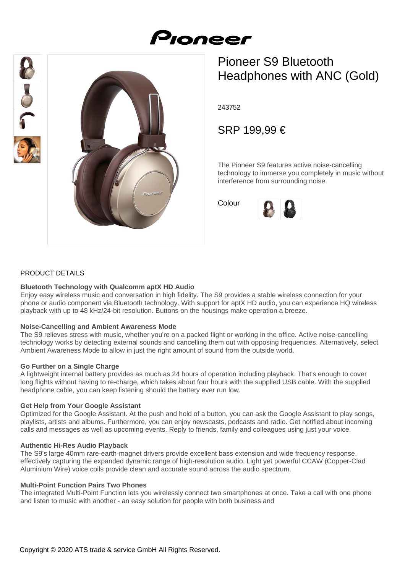# Proneer





# Pioneer S9 Bluetooth Headphones with ANC (Gold)

243752

SRP 199,99 €

The Pioneer S9 features active noise-cancelling technology to immerse you completely in music without interference from surrounding noise.

Colour



#### PRODUCT DETAILS

#### **Bluetooth Technology with Qualcomm aptX HD Audio**

Enjoy easy wireless music and conversation in high fidelity. The S9 provides a stable wireless connection for your phone or audio component via Bluetooth technology. With support for aptX HD audio, you can experience HQ wireless playback with up to 48 kHz/24-bit resolution. Buttons on the housings make operation a breeze.

#### **Noise-Cancelling and Ambient Awareness Mode**

The S9 relieves stress with music, whether you're on a packed flight or working in the office. Active noise-cancelling technology works by detecting external sounds and cancelling them out with opposing frequencies. Alternatively, select Ambient Awareness Mode to allow in just the right amount of sound from the outside world.

#### **Go Further on a Single Charge**

A lightweight internal battery provides as much as 24 hours of operation including playback. That's enough to cover long flights without having to re-charge, which takes about four hours with the supplied USB cable. With the supplied headphone cable, you can keep listening should the battery ever run low.

#### **Get Help from Your Google Assistant**

Optimized for the Google Assistant. At the push and hold of a button, you can ask the Google Assistant to play songs, playlists, artists and albums. Furthermore, you can enjoy newscasts, podcasts and radio. Get notified about incoming calls and messages as well as upcoming events. Reply to friends, family and colleagues using just your voice.

#### **Authentic Hi-Res Audio Playback**

The S9's large 40mm rare-earth-magnet drivers provide excellent bass extension and wide frequency response, effectively capturing the expanded dynamic range of high-resolution audio. Light yet powerful CCAW (Copper-Clad Aluminium Wire) voice coils provide clean and accurate sound across the audio spectrum.

#### **Multi-Point Function Pairs Two Phones**

The integrated Multi-Point Function lets you wirelessly connect two smartphones at once. Take a call with one phone and listen to music with another - an easy solution for people with both business and